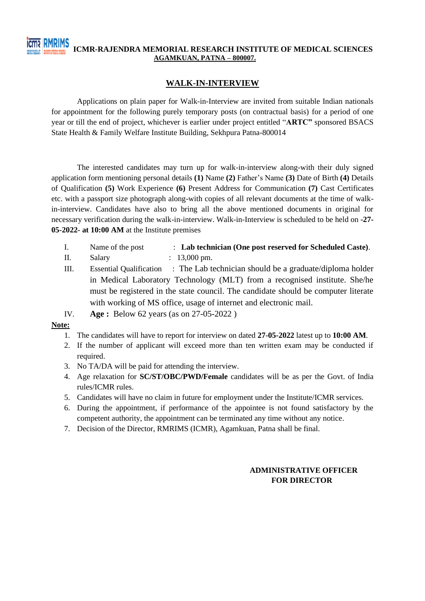## **ICMR-RAJENDRA MEMORIAL RESEARCH INSTITUTE OF MEDICAL SCIENCES AGAMKUAN, PATNA – 800007.**

#### **WALK-IN-INTERVIEW**

Applications on plain paper for Walk-in-Interview are invited from suitable Indian nationals for appointment for the following purely temporary posts (on contractual basis) for a period of one year or till the end of project, whichever is earlier under project entitled "**ARTC"** sponsored BSACS State Health & Family Welfare Institute Building, Sekhpura Patna-800014

The interested candidates may turn up for walk-in-interview along-with their duly signed application form mentioning personal details **(1)** Name **(2)** Father's Name **(3)** Date of Birth **(4)** Details of Qualification **(5)** Work Experience **(6)** Present Address for Communication **(7)** Cast Certificates etc. with a passport size photograph along-with copies of all relevant documents at the time of walkin-interview. Candidates have also to bring all the above mentioned documents in original for necessary verification during the walk-in-interview. Walk-in-Interview is scheduled to be held on **-27- 05-2022- at 10:00 AM** at the Institute premises

- I. Name of the post : **Lab technician (One post reserved for Scheduled Caste)**.
- II. Salary : 13,000 pm.
- III. Essential Qualification : The Lab technician should be a graduate/diploma holder in Medical Laboratory Technology (MLT) from a recognised institute. She/he must be registered in the state council. The candidate should be computer literate with working of MS office, usage of internet and electronic mail.
- IV. **Age :** Below 62 years (as on 27-05-2022 )

#### **Note:**

- 1. The candidates will have to report for interview on dated **27-05-2022** latest up to **10:00 AM**.
- 2. If the number of applicant will exceed more than ten written exam may be conducted if required.
- 3. No TA/DA will be paid for attending the interview.
- 4. Age relaxation for **SC/ST/OBC/PWD/Female** candidates will be as per the Govt. of India rules/ICMR rules.
- 5. Candidates will have no claim in future for employment under the Institute/ICMR services.
- 6. During the appointment, if performance of the appointee is not found satisfactory by the competent authority, the appointment can be terminated any time without any notice.
- 7. Decision of the Director, RMRIMS (ICMR), Agamkuan, Patna shall be final.

### **ADMINISTRATIVE OFFICER FOR DIRECTOR**